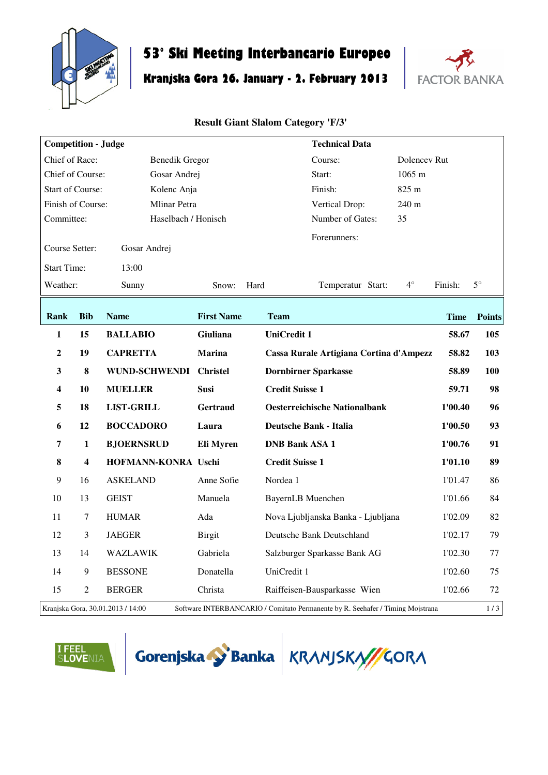

## **53° Ski Meeting Interbancario Europeo**

## **Kranjska Gora 26. January - 2. February 2013**



## **Result Giant Slalom Category 'F/3'**

| <b>Competition - Judge</b>              |                                                                                                                     |                        |                     | <b>Technical Data</b>  |                                         |  |                      |             |               |
|-----------------------------------------|---------------------------------------------------------------------------------------------------------------------|------------------------|---------------------|------------------------|-----------------------------------------|--|----------------------|-------------|---------------|
| Chief of Race:<br><b>Benedik Gregor</b> |                                                                                                                     |                        |                     |                        | Course:                                 |  | Dolencev Rut         |             |               |
| Chief of Course:<br>Gosar Andrej        |                                                                                                                     |                        |                     |                        | Start:                                  |  | $1065 \; \mathrm{m}$ |             |               |
| <b>Start of Course:</b><br>Kolenc Anja  |                                                                                                                     |                        |                     |                        | Finish:                                 |  |                      | 825 m       |               |
| Finish of Course:<br>Mlinar Petra       |                                                                                                                     |                        |                     |                        | 240 m<br>Vertical Drop:                 |  |                      |             |               |
| Committee:                              |                                                                                                                     |                        | Haselbach / Honisch |                        | Number of Gates:                        |  | 35                   |             |               |
| Course Setter:<br>Gosar Andrej          |                                                                                                                     |                        |                     |                        | Forerunners:                            |  |                      |             |               |
| <b>Start Time:</b>                      |                                                                                                                     | 13:00                  |                     |                        |                                         |  |                      |             |               |
| Weather:                                |                                                                                                                     | Sunny                  | Snow:               | Hard                   | Temperatur Start:                       |  | $4^{\circ}$          | Finish:     | $5^\circ$     |
| Rank                                    | <b>Bib</b>                                                                                                          | <b>Name</b>            | <b>First Name</b>   | <b>Team</b>            |                                         |  |                      | <b>Time</b> | <b>Points</b> |
| $\mathbf{1}$                            | 15                                                                                                                  | <b>BALLABIO</b>        | Giuliana            | <b>UniCredit 1</b>     |                                         |  |                      | 58.67       | 105           |
| $\boldsymbol{2}$                        | 19                                                                                                                  | <b>CAPRETTA</b>        | <b>Marina</b>       |                        | Cassa Rurale Artigiana Cortina d'Ampezz |  |                      | 58.82       | 103           |
| $\mathbf{3}$                            | $\bf{8}$                                                                                                            | WUND-SCHWENDI Christel |                     |                        | <b>Dornbirner Sparkasse</b>             |  |                      | 58.89       | 100           |
| $\overline{\mathbf{4}}$                 | 10                                                                                                                  | <b>MUELLER</b>         | <b>Susi</b>         | <b>Credit Suisse 1</b> |                                         |  |                      | 59.71       | 98            |
| 5                                       | 18                                                                                                                  | <b>LIST-GRILL</b>      | <b>Gertraud</b>     |                        | <b>Oesterreichische Nationalbank</b>    |  |                      | 1'00.40     | 96            |
| 6                                       | 12                                                                                                                  | <b>BOCCADORO</b>       | Laura               |                        | <b>Deutsche Bank - Italia</b>           |  |                      | 1'00.50     | 93            |
| $\overline{7}$                          | $\mathbf{1}$                                                                                                        | <b>BJOERNSRUD</b>      | Eli Myren           | <b>DNB Bank ASA 1</b>  |                                         |  |                      | 1'00.76     | 91            |
| 8                                       | 4                                                                                                                   | HOFMANN-KONRA Uschi    |                     | <b>Credit Suisse 1</b> |                                         |  |                      | 1'01.10     | 89            |
| $\boldsymbol{9}$                        | 16                                                                                                                  | <b>ASKELAND</b>        | Anne Sofie          | Nordea 1               |                                         |  |                      | 1'01.47     | 86            |
| 10                                      | 13                                                                                                                  | <b>GEIST</b>           | Manuela             | BayernLB Muenchen      |                                         |  |                      | 1'01.66     | 84            |
| 11                                      | 7                                                                                                                   | <b>HUMAR</b>           | Ada                 |                        | Nova Ljubljanska Banka - Ljubljana      |  |                      | 1'02.09     | 82            |
| 12                                      | 3                                                                                                                   | <b>JAEGER</b>          | <b>Birgit</b>       |                        | Deutsche Bank Deutschland               |  |                      | 1'02.17     | 79            |
| 13                                      | 14                                                                                                                  | WAZLAWIK               | Gabriela            |                        | Salzburger Sparkasse Bank AG            |  |                      | 1'02.30     | 77            |
| 14                                      | 9                                                                                                                   | <b>BESSONE</b>         | Donatella           | UniCredit 1            |                                         |  |                      | 1'02.60     | 75            |
| 15                                      | 2                                                                                                                   | <b>BERGER</b>          | Christa             |                        | Raiffeisen-Bausparkasse Wien            |  |                      | 1'02.66     | 72            |
|                                         | Kranjska Gora, 30.01.2013 / 14:00<br>Software INTERBANCARIO / Comitato Permanente by R. Seehafer / Timing Mojstrana |                        |                     |                        |                                         |  |                      |             | $1/3$         |





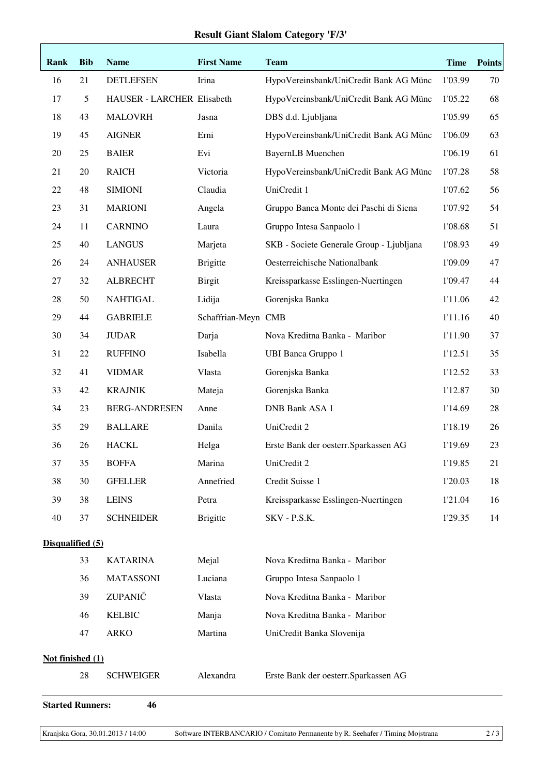## **Result Giant Slalom Category 'F/3'**

| Rank                          | <b>Bib</b> | <b>Name</b>                | <b>First Name</b>   | <b>Team</b>                              | <b>Time</b> | <b>Points</b> |  |
|-------------------------------|------------|----------------------------|---------------------|------------------------------------------|-------------|---------------|--|
| 16                            | 21         | <b>DETLEFSEN</b>           | Irina               | HypoVereinsbank/UniCredit Bank AG Münc   | 1'03.99     | 70            |  |
| 17                            | 5          | HAUSER - LARCHER Elisabeth |                     | HypoVereinsbank/UniCredit Bank AG Münc   | 1'05.22     | 68            |  |
| 18                            | 43         | <b>MALOVRH</b>             | Jasna               | DBS d.d. Ljubljana                       | 1'05.99     | 65            |  |
| 19                            | 45         | <b>AIGNER</b>              | Erni                | HypoVereinsbank/UniCredit Bank AG Münc   | 1'06.09     | 63            |  |
| 20                            | 25         | <b>BAIER</b>               | Evi                 | BayernLB Muenchen                        | 1'06.19     | 61            |  |
| 21                            | 20         | <b>RAICH</b>               | Victoria            | HypoVereinsbank/UniCredit Bank AG Münc   | 1'07.28     | 58            |  |
| $22\,$                        | 48         | <b>SIMIONI</b>             | Claudia             | UniCredit 1                              | 1'07.62     | 56            |  |
| 23                            | 31         | <b>MARIONI</b>             | Angela              | Gruppo Banca Monte dei Paschi di Siena   | 1'07.92     | 54            |  |
| 24                            | 11         | <b>CARNINO</b>             | Laura               | Gruppo Intesa Sanpaolo 1                 | 1'08.68     | 51            |  |
| 25                            | 40         | <b>LANGUS</b>              | Marjeta             | SKB - Societe Generale Group - Ljubljana | 1'08.93     | 49            |  |
| 26                            | 24         | <b>ANHAUSER</b>            | <b>Brigitte</b>     | Oesterreichische Nationalbank            | 1'09.09     | 47            |  |
| 27                            | 32         | <b>ALBRECHT</b>            | <b>Birgit</b>       | Kreissparkasse Esslingen-Nuertingen      | 1'09.47     | 44            |  |
| 28                            | 50         | <b>NAHTIGAL</b>            | Lidija              | Gorenjska Banka                          | 1'11.06     | 42            |  |
| 29                            | 44         | <b>GABRIELE</b>            | Schaffrian-Meyn CMB |                                          | 1'11.16     | 40            |  |
| 30                            | 34         | <b>JUDAR</b>               | Darja               | Nova Kreditna Banka - Maribor            | 1'11.90     | 37            |  |
| 31                            | 22         | <b>RUFFINO</b>             | Isabella            | <b>UBI Banca Gruppo 1</b>                | 1'12.51     | 35            |  |
| 32                            | 41         | <b>VIDMAR</b>              | Vlasta              | Gorenjska Banka                          | 1'12.52     | 33            |  |
| 33                            | 42         | <b>KRAJNIK</b>             | Mateja              | Gorenjska Banka                          | 1'12.87     | 30            |  |
| 34                            | 23         | <b>BERG-ANDRESEN</b>       | Anne                | <b>DNB Bank ASA 1</b>                    | 1'14.69     | 28            |  |
| 35                            | 29         | <b>BALLARE</b>             | Danila              | UniCredit 2                              | 1'18.19     | 26            |  |
| 36                            | 26         | <b>HACKL</b>               | Helga               | Erste Bank der oesterr. Sparkassen AG    | 1'19.69     | 23            |  |
| 37                            | 35         | <b>BOFFA</b>               | Marina              | UniCredit 2                              | 1'19.85     | 21            |  |
| 38                            | 30         | <b>GFELLER</b>             | Annefried           | Credit Suisse 1                          | 1'20.03     | 18            |  |
| 39                            | 38         | <b>LEINS</b>               | Petra               | Kreissparkasse Esslingen-Nuertingen      | 1'21.04     | 16            |  |
| 40                            | 37         | <b>SCHNEIDER</b>           | <b>Brigitte</b>     | SKV - P.S.K.                             | 1'29.35     | 14            |  |
| Disqualified (5)              |            |                            |                     |                                          |             |               |  |
|                               | 33         | <b>KATARINA</b>            | Mejal               | Nova Kreditna Banka - Maribor            |             |               |  |
|                               | 36         | <b>MATASSONI</b>           | Luciana             | Gruppo Intesa Sanpaolo 1                 |             |               |  |
|                               | 39         | ZUPANIČ                    | Vlasta              | Nova Kreditna Banka - Maribor            |             |               |  |
|                               | 46         | <b>KELBIC</b>              | Manja               | Nova Kreditna Banka - Maribor            |             |               |  |
|                               | 47         | <b>ARKO</b>                | Martina             | UniCredit Banka Slovenija                |             |               |  |
| Not finished (1)              |            |                            |                     |                                          |             |               |  |
|                               | 28         | <b>SCHWEIGER</b>           | Alexandra           | Erste Bank der oesterr. Sparkassen AG    |             |               |  |
| 46<br><b>Started Runners:</b> |            |                            |                     |                                          |             |               |  |